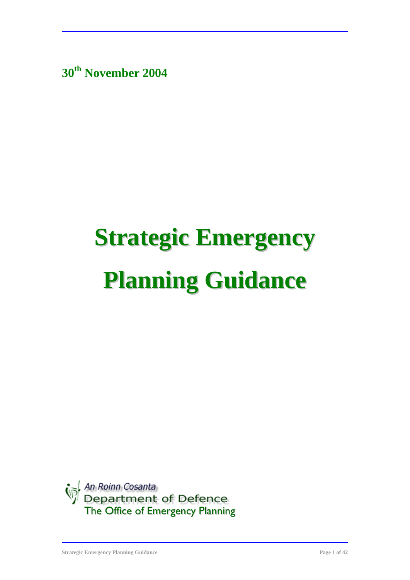**30th November 2004**

# **Strategic Emergency Planning Guidance**

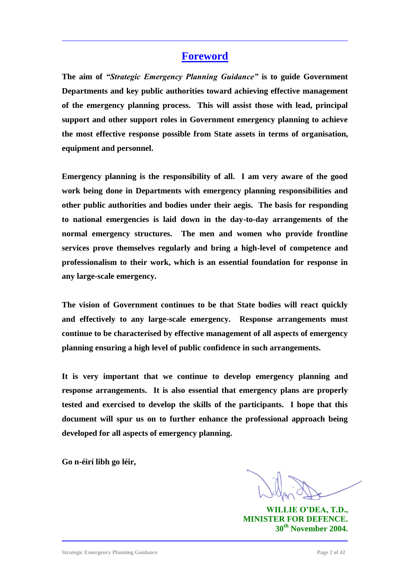#### **Foreword**

**The aim of** *"Strategic Emergency Planning Guidance"* **is to guide Government Departments and key public authorities toward achieving effective management of the emergency planning process. This will assist those with lead, principal support and other support roles in Government emergency planning to achieve the most effective response possible from State assets in terms of organisation, equipment and personnel.**

**Emergency planning is the responsibility of all. I am very aware of the good work being done in Departments with emergency planning responsibilities and other public authorities and bodies under their aegis. The basis for responding to national emergencies is laid down in the day-to-day arrangements of the normal emergency structures. The men and women who provide frontline services prove themselves regularly and bring a high-level of competence and professionalism to their work, which is an essential foundation for response in any large-scale emergency.**

**The vision of Government continues to be that State bodies will react quickly and effectively to any large-scale emergency. Response arrangements must continue to be characterised by effective management of all aspects of emergency planning ensuring a high level of public confidence in such arrangements.**

**It is very important that we continue to develop emergency planning and response arrangements. It is also essential that emergency plans are properly tested and exercised to develop the skills of the participants. I hope that this document will spur us on to further enhance the professional approach being developed for all aspects of emergency planning.**

**Go n-éirí libh go léir,**

**WILLIE O'DEA, T.D., MINISTER FOR DEFENCE. 30th November 2004.**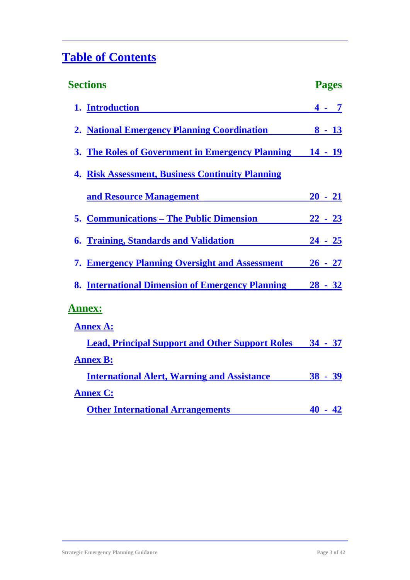## **Table of Contents**

| <b>Sections</b>                                         | <b>Pages</b>   |
|---------------------------------------------------------|----------------|
| 1. Introduction                                         | $4 - 7$        |
| 2. National Emergency Planning Coordination             | $8 - 13$       |
| 3. The Roles of Government in Emergency Planning        | $14 - 19$      |
| <b>4. Risk Assessment, Business Continuity Planning</b> |                |
| and Resource Management                                 | $20 - 21$      |
| <b>5. Communications – The Public Dimension</b>         | $22 - 23$      |
| <b>6. Training, Standards and Validation</b>            | <u>24 - 25</u> |
| 7. Emergency Planning Oversight and Assessment          | $26 - 27$      |
| 8. International Dimension of Emergency Planning        | $28 - 32$      |
| <b>Annex:</b>                                           |                |
| <b>Annex A:</b>                                         |                |
| <b>Lead, Principal Support and Other Support Roles</b>  | $34 - 37$      |
| <b>Annex B:</b>                                         |                |
| <b>International Alert, Warning and Assistance</b>      | $38 - 39$      |
| <b>Annex C:</b>                                         |                |
| <b>Other International Arrangements</b>                 | $40 - 42$      |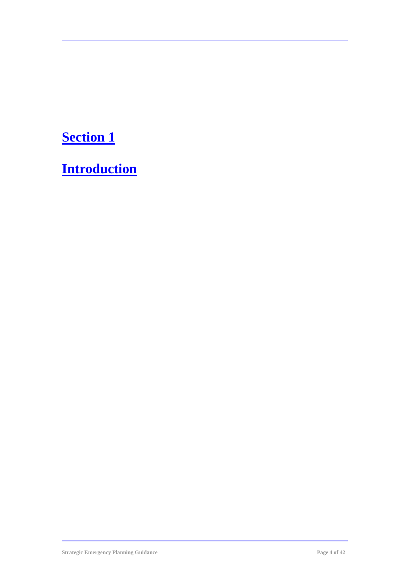# **Section 1**

**Introduction**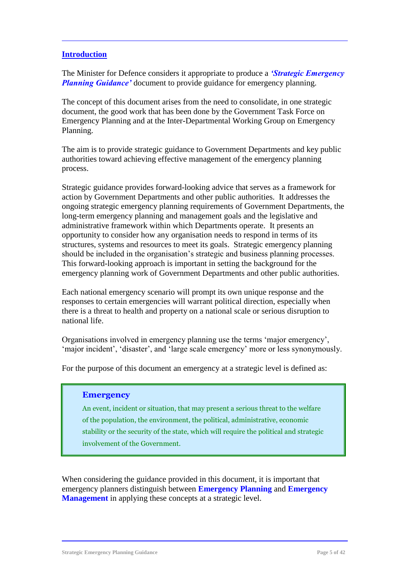#### **Introduction**

The Minister for Defence considers it appropriate to produce a *'Strategic Emergency Planning Guidance'* document to provide guidance for emergency planning.

The concept of this document arises from the need to consolidate, in one strategic document, the good work that has been done by the Government Task Force on Emergency Planning and at the Inter-Departmental Working Group on Emergency Planning.

The aim is to provide strategic guidance to Government Departments and key public authorities toward achieving effective management of the emergency planning process.

Strategic guidance provides forward-looking advice that serves as a framework for action by Government Departments and other public authorities. It addresses the ongoing strategic emergency planning requirements of Government Departments, the long-term emergency planning and management goals and the legislative and administrative framework within which Departments operate. It presents an opportunity to consider how any organisation needs to respond in terms of its structures, systems and resources to meet its goals. Strategic emergency planning should be included in the organisation's strategic and business planning processes. This forward-looking approach is important in setting the background for the emergency planning work of Government Departments and other public authorities.

Each national emergency scenario will prompt its own unique response and the responses to certain emergencies will warrant political direction, especially when there is a threat to health and property on a national scale or serious disruption to national life.

Organisations involved in emergency planning use the terms 'major emergency', 'major incident', 'disaster', and 'large scale emergency' more or less synonymously.

For the purpose of this document an emergency at a strategic level is defined as:

#### **Emergency**

An event, incident or situation, that may present a serious threat to the welfare of the population, the environment, the political, administrative, economic stability or the security of the state, which will require the political and strategic involvement of the Government.

When considering the guidance provided in this document, it is important that emergency planners distinguish between **Emergency Planning** and **Emergency Management** in applying these concepts at a strategic level.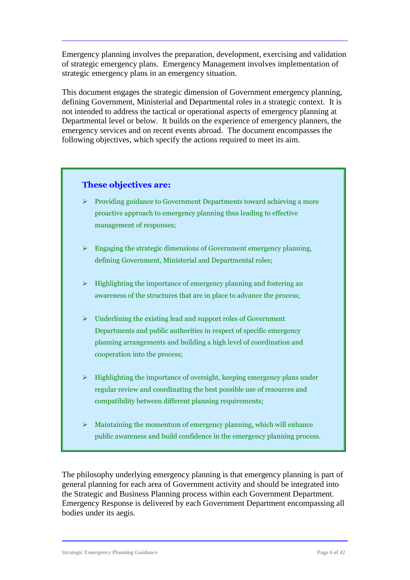Emergency planning involves the preparation, development, exercising and validation of strategic emergency plans. Emergency Management involves implementation of strategic emergency plans in an emergency situation.

This document engages the strategic dimension of Government emergency planning, defining Government, Ministerial and Departmental roles in a strategic context. It is not intended to address the tactical or operational aspects of emergency planning at Departmental level or below. It builds on the experience of emergency planners, the emergency services and on recent events abroad. The document encompasses the following objectives, which specify the actions required to meet its aim.

#### **These objectives are:**

- $\triangleright$  Providing guidance to Government Departments toward achieving a more proactive approach to emergency planning thus leading to effective management of responses;
- $\triangleright$  Engaging the strategic dimensions of Government emergency planning, defining Government, Ministerial and Departmental roles;
- $\triangleright$  Highlighting the importance of emergency planning and fostering an awareness of the structures that are in place to advance the process;
- $\triangleright$  Underlining the existing lead and support roles of Government Departments and public authorities in respect of specific emergency planning arrangements and building a high level of coordination and cooperation into the process;
- $\triangleright$  Highlighting the importance of oversight, keeping emergency plans under regular review and coordinating the best possible use of resources and compatibility between different planning requirements;
- $\triangleright$  Maintaining the momentum of emergency planning, which will enhance public awareness and build confidence in the emergency planning process.

The philosophy underlying emergency planning is that emergency planning is part of general planning for each area of Government activity and should be integrated into the Strategic and Business Planning process within each Government Department. Emergency Response is delivered by each Government Department encompassing all bodies under its aegis.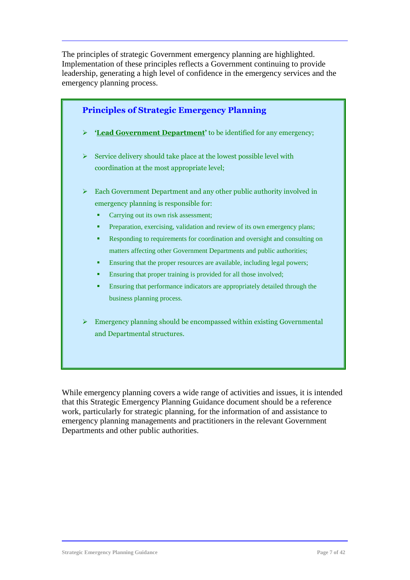The principles of strategic Government emergency planning are highlighted. Implementation of these principles reflects a Government continuing to provide leadership, generating a high level of confidence in the emergency services and the emergency planning process.



While emergency planning covers a wide range of activities and issues, it is intended that this Strategic Emergency Planning Guidance document should be a reference work, particularly for strategic planning, for the information of and assistance to emergency planning managements and practitioners in the relevant Government Departments and other public authorities.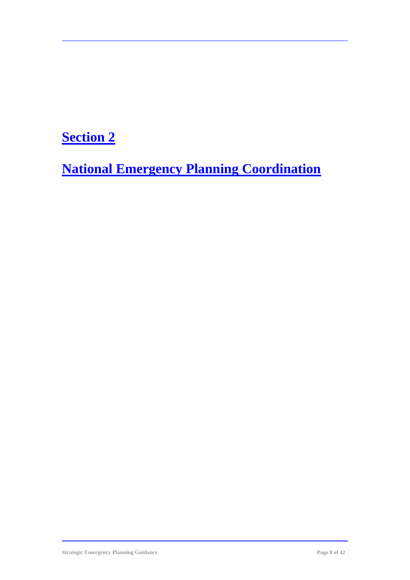# **Section 2**

**National Emergency Planning Coordination**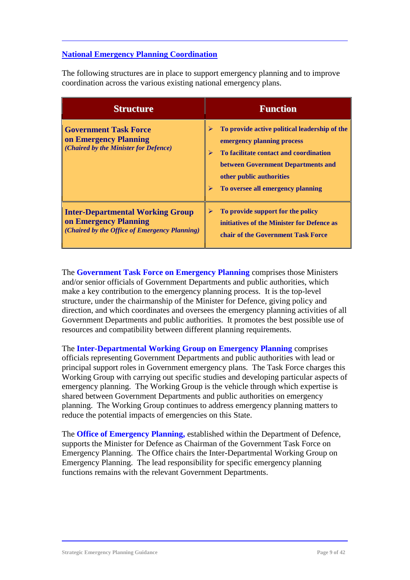#### **National Emergency Planning Coordination**

The following structures are in place to support emergency planning and to improve coordination across the various existing national emergency plans.

| <b>Structure</b>                                                                                                  | <b>Function</b>                                                                                                                                                                                                                             |
|-------------------------------------------------------------------------------------------------------------------|---------------------------------------------------------------------------------------------------------------------------------------------------------------------------------------------------------------------------------------------|
| <b>Government Task Force</b><br>on Emergency Planning<br>(Chaired by the Minister for Defence)                    | To provide active political leadership of the<br>⋗<br>emergency planning process<br>To facilitate contact and coordination<br>➤<br>between Government Departments and<br>other public authorities<br>To oversee all emergency planning<br>➤ |
| <b>Inter-Departmental Working Group</b><br>on Emergency Planning<br>(Chaired by the Office of Emergency Planning) | To provide support for the policy<br>⋗<br>initiatives of the Minister for Defence as<br>chair of the Government Task Force                                                                                                                  |

The **Government Task Force on Emergency Planning** comprises those Ministers and/or senior officials of Government Departments and public authorities, which make a key contribution to the emergency planning process. It is the top-level structure, under the chairmanship of the Minister for Defence, giving policy and direction, and which coordinates and oversees the emergency planning activities of all Government Departments and public authorities. It promotes the best possible use of resources and compatibility between different planning requirements.

The **Inter-Departmental Working Group on Emergency Planning** comprises officials representing Government Departments and public authorities with lead or principal support roles in Government emergency plans. The Task Force charges this Working Group with carrying out specific studies and developing particular aspects of emergency planning. The Working Group is the vehicle through which expertise is shared between Government Departments and public authorities on emergency planning. The Working Group continues to address emergency planning matters to reduce the potential impacts of emergencies on this State.

The **Office of Emergency Planning,** established within the Department of Defence, supports the Minister for Defence as Chairman of the Government Task Force on Emergency Planning. The Office chairs the Inter-Departmental Working Group on Emergency Planning. The lead responsibility for specific emergency planning functions remains with the relevant Government Departments.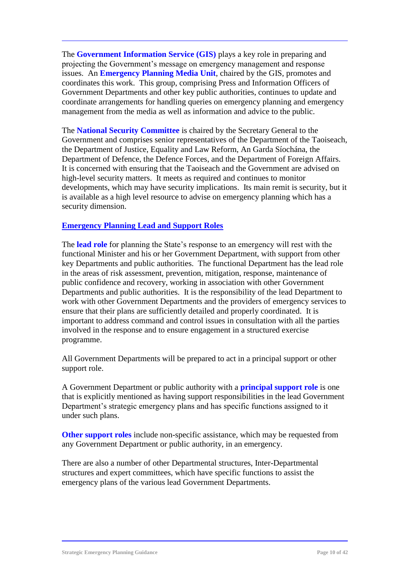The **Government Information Service (GIS)** plays a key role in preparing and projecting the Government's message on emergency management and response issues. An **Emergency Planning Media Unit**, chaired by the GIS, promotes and coordinates this work. This group, comprising Press and Information Officers of Government Departments and other key public authorities, continues to update and coordinate arrangements for handling queries on emergency planning and emergency management from the media as well as information and advice to the public.

The **National Security Committee** is chaired by the Secretary General to the Government and comprises senior representatives of the Department of the Taoiseach, the Department of Justice, Equality and Law Reform, An Garda Síochána, the Department of Defence, the Defence Forces, and the Department of Foreign Affairs. It is concerned with ensuring that the Taoiseach and the Government are advised on high-level security matters. It meets as required and continues to monitor developments, which may have security implications. Its main remit is security, but it is available as a high level resource to advise on emergency planning which has a security dimension.

#### **Emergency Planning Lead and Support Roles**

The **lead role** for planning the State's response to an emergency will rest with the functional Minister and his or her Government Department, with support from other key Departments and public authorities. The functional Department has the lead role in the areas of risk assessment, prevention, mitigation, response, maintenance of public confidence and recovery, working in association with other Government Departments and public authorities. It is the responsibility of the lead Department to work with other Government Departments and the providers of emergency services to ensure that their plans are sufficiently detailed and properly coordinated. It is important to address command and control issues in consultation with all the parties involved in the response and to ensure engagement in a structured exercise programme.

All Government Departments will be prepared to act in a principal support or other support role.

A Government Department or public authority with a **principal support role** is one that is explicitly mentioned as having support responsibilities in the lead Government Department's strategic emergency plans and has specific functions assigned to it under such plans.

**Other support roles** include non-specific assistance, which may be requested from any Government Department or public authority, in an emergency.

There are also a number of other Departmental structures, Inter-Departmental structures and expert committees, which have specific functions to assist the emergency plans of the various lead Government Departments.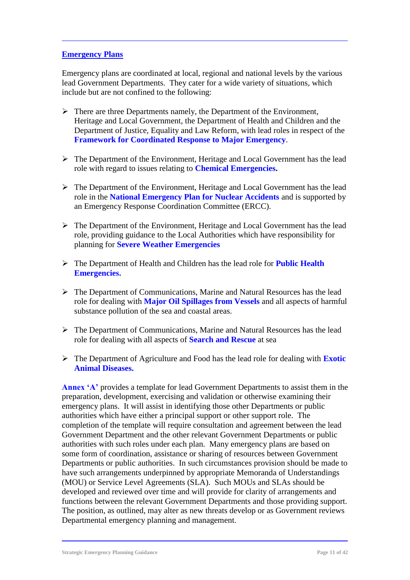#### **Emergency Plans**

Emergency plans are coordinated at local, regional and national levels by the various lead Government Departments. They cater for a wide variety of situations, which include but are not confined to the following:

- $\triangleright$  There are three Departments namely, the Department of the Environment, Heritage and Local Government, the Department of Health and Children and the Department of Justice, Equality and Law Reform, with lead roles in respect of the **Framework for Coordinated Response to Major Emergency**.
- The Department of the Environment, Heritage and Local Government has the lead role with regard to issues relating to **Chemical Emergencies.**
- $\triangleright$  The Department of the Environment, Heritage and Local Government has the lead role in the **National Emergency Plan for Nuclear Accidents** and is supported by an Emergency Response Coordination Committee (ERCC).
- $\triangleright$  The Department of the Environment, Heritage and Local Government has the lead role, providing guidance to the Local Authorities which have responsibility for planning for **Severe Weather Emergencies**
- The Department of Health and Children has the lead role for **Public Health Emergencies.**
- $\triangleright$  The Department of Communications, Marine and Natural Resources has the lead role for dealing with **Major Oil Spillages from Vessels** and all aspects of harmful substance pollution of the sea and coastal areas.
- $\triangleright$  The Department of Communications, Marine and Natural Resources has the lead role for dealing with all aspects of **Search and Rescue** at sea
- The Department of Agriculture and Food has the lead role for dealing with **Exotic Animal Diseases.**

**Annex 'A'** provides a template for lead Government Departments to assist them in the preparation, development, exercising and validation or otherwise examining their emergency plans. It will assist in identifying those other Departments or public authorities which have either a principal support or other support role. The completion of the template will require consultation and agreement between the lead Government Department and the other relevant Government Departments or public authorities with such roles under each plan. Many emergency plans are based on some form of coordination, assistance or sharing of resources between Government Departments or public authorities. In such circumstances provision should be made to have such arrangements underpinned by appropriate Memoranda of Understandings (MOU) or Service Level Agreements (SLA). Such MOUs and SLAs should be developed and reviewed over time and will provide for clarity of arrangements and functions between the relevant Government Departments and those providing support. The position, as outlined, may alter as new threats develop or as Government reviews Departmental emergency planning and management.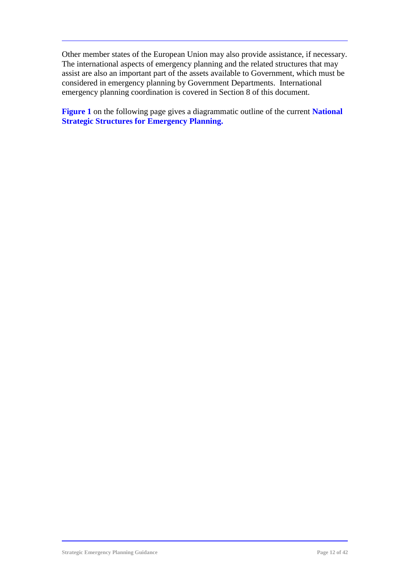Other member states of the European Union may also provide assistance, if necessary. The international aspects of emergency planning and the related structures that may assist are also an important part of the assets available to Government, which must be considered in emergency planning by Government Departments. International emergency planning coordination is covered in Section 8 of this document.

**Figure 1** on the following page gives a diagrammatic outline of the current **National Strategic Structures for Emergency Planning.**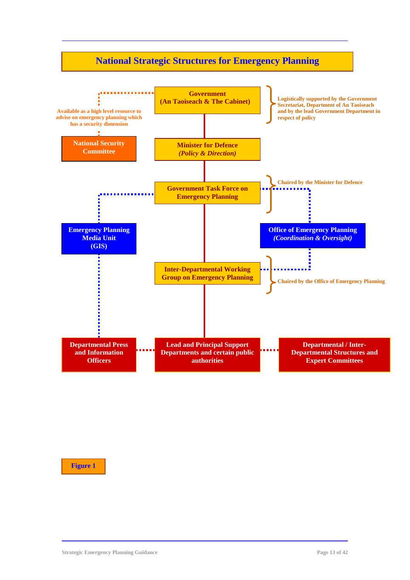### **National Strategic Structures for Emergency Planning**



#### **Figure 1**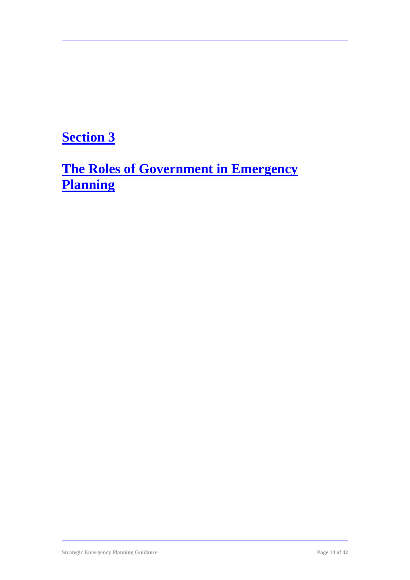# **Section 3**

**The Roles of Government in Emergency Planning**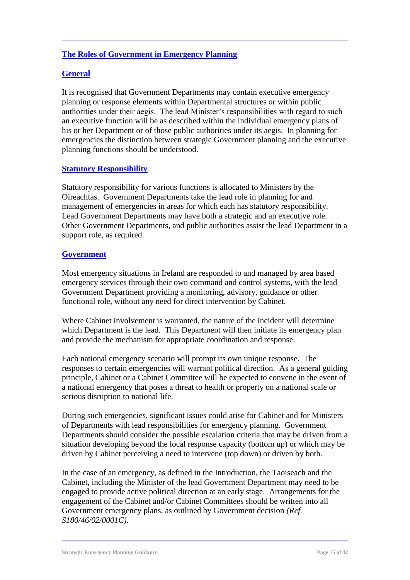#### **The Roles of Government in Emergency Planning**

#### **General**

It is recognised that Government Departments may contain executive emergency planning or response elements within Departmental structures or within public authorities under their aegis. The lead Minister's responsibilities with regard to such an executive function will be as described within the individual emergency plans of his or her Department or of those public authorities under its aegis. In planning for emergencies the distinction between strategic Government planning and the executive planning functions should be understood.

#### **Statutory Responsibility**

Statutory responsibility for various functions is allocated to Ministers by the Oireachtas. Government Departments take the lead role in planning for and management of emergencies in areas for which each has statutory responsibility. Lead Government Departments may have both a strategic and an executive role. Other Government Departments, and public authorities assist the lead Department in a support role, as required.

#### **Government**

Most emergency situations in Ireland are responded to and managed by area based emergency services through their own command and control systems, with the lead Government Department providing a monitoring, advisory, guidance or other functional role, without any need for direct intervention by Cabinet.

Where Cabinet involvement is warranted, the nature of the incident will determine which Department is the lead. This Department will then initiate its emergency plan and provide the mechanism for appropriate coordination and response.

Each national emergency scenario will prompt its own unique response. The responses to certain emergencies will warrant political direction. As a general guiding principle, Cabinet or a Cabinet Committee will be expected to convene in the event of a national emergency that poses a threat to health or property on a national scale or serious disruption to national life.

During such emergencies, significant issues could arise for Cabinet and for Ministers of Departments with lead responsibilities for emergency planning. Government Departments should consider the possible escalation criteria that may be driven from a situation developing beyond the local response capacity (bottom up) or which may be driven by Cabinet perceiving a need to intervene (top down) or driven by both.

In the case of an emergency, as defined in the Introduction, the Taoiseach and the Cabinet, including the Minister of the lead Government Department may need to be engaged to provide active political direction at an early stage. Arrangements for the engagement of the Cabinet and/or Cabinet Committees should be written into all Government emergency plans, as outlined by Government decision *(Ref. S180/46/02/0001C).*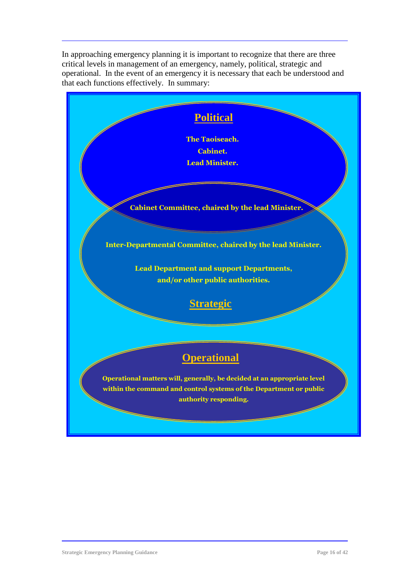In approaching emergency planning it is important to recognize that there are three critical levels in management of an emergency, namely, political, strategic and operational. In the event of an emergency it is necessary that each be understood and that each functions effectively. In summary:

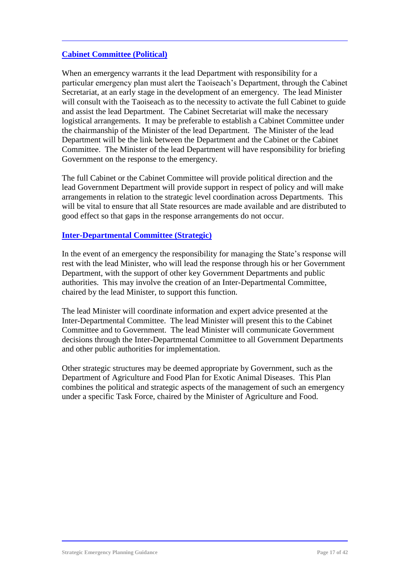#### **Cabinet Committee (Political)**

When an emergency warrants it the lead Department with responsibility for a particular emergency plan must alert the Taoiseach's Department, through the Cabinet Secretariat, at an early stage in the development of an emergency. The lead Minister will consult with the Taoiseach as to the necessity to activate the full Cabinet to guide and assist the lead Department. The Cabinet Secretariat will make the necessary logistical arrangements. It may be preferable to establish a Cabinet Committee under the chairmanship of the Minister of the lead Department. The Minister of the lead Department will be the link between the Department and the Cabinet or the Cabinet Committee. The Minister of the lead Department will have responsibility for briefing Government on the response to the emergency.

The full Cabinet or the Cabinet Committee will provide political direction and the lead Government Department will provide support in respect of policy and will make arrangements in relation to the strategic level coordination across Departments. This will be vital to ensure that all State resources are made available and are distributed to good effect so that gaps in the response arrangements do not occur.

#### **Inter-Departmental Committee (Strategic)**

In the event of an emergency the responsibility for managing the State's response will rest with the lead Minister, who will lead the response through his or her Government Department, with the support of other key Government Departments and public authorities. This may involve the creation of an Inter-Departmental Committee, chaired by the lead Minister, to support this function.

The lead Minister will coordinate information and expert advice presented at the Inter-Departmental Committee. The lead Minister will present this to the Cabinet Committee and to Government. The lead Minister will communicate Government decisions through the Inter-Departmental Committee to all Government Departments and other public authorities for implementation.

Other strategic structures may be deemed appropriate by Government, such as the Department of Agriculture and Food Plan for Exotic Animal Diseases. This Plan combines the political and strategic aspects of the management of such an emergency under a specific Task Force, chaired by the Minister of Agriculture and Food.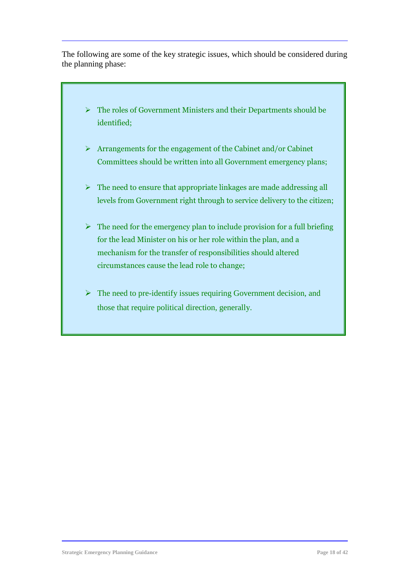The following are some of the key strategic issues, which should be considered during the planning phase:

- $\triangleright$  The roles of Government Ministers and their Departments should be identified;
- $\triangleright$  Arrangements for the engagement of the Cabinet and/or Cabinet Committees should be written into all Government emergency plans;
- $\triangleright$  The need to ensure that appropriate linkages are made addressing all levels from Government right through to service delivery to the citizen;
- $\triangleright$  The need for the emergency plan to include provision for a full briefing for the lead Minister on his or her role within the plan, and a mechanism for the transfer of responsibilities should altered circumstances cause the lead role to change;
- $\triangleright$  The need to pre-identify issues requiring Government decision, and those that require political direction, generally.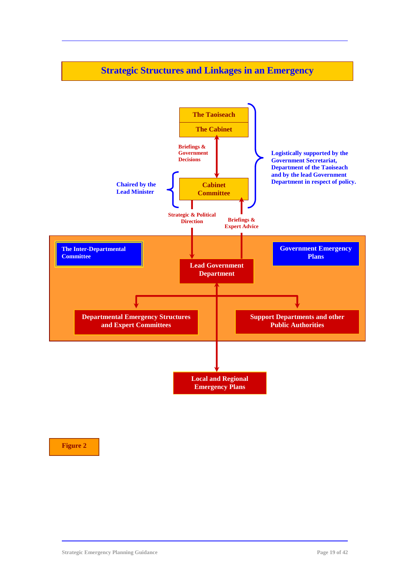### **Strategic Structures and Linkages in an Emergency**



**Figure 2**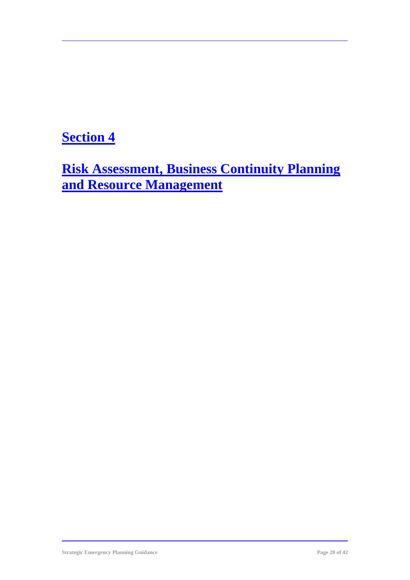### **Section 4**

**Risk Assessment, Business Continuity Planning and Resource Management**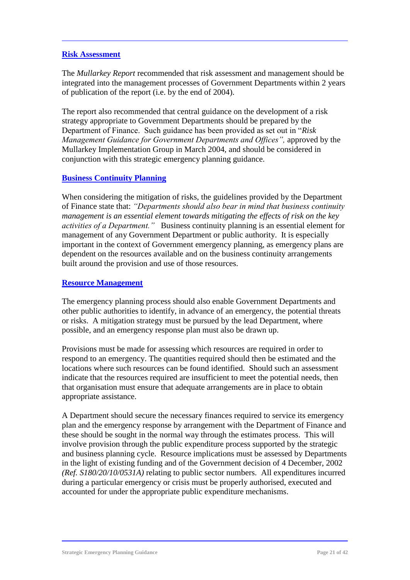#### **Risk Assessment**

The *Mullarkey Report* recommended that risk assessment and management should be integrated into the management processes of Government Departments within 2 years of publication of the report (i.e. by the end of 2004).

The report also recommended that central guidance on the development of a risk strategy appropriate to Government Departments should be prepared by the Department of Finance. Such guidance has been provided as set out in "*Risk Management Guidance for Government Departments and Offices",* approved by the Mullarkey Implementation Group in March 2004, and should be considered in conjunction with this strategic emergency planning guidance.

#### **Business Continuity Planning**

When considering the mitigation of risks, the guidelines provided by the Department of Finance state that: *"Departments should also bear in mind that business continuity management is an essential element towards mitigating the effects of risk on the key activities of a Department."* Business continuity planning is an essential element for management of any Government Department or public authority. It is especially important in the context of Government emergency planning, as emergency plans are dependent on the resources available and on the business continuity arrangements built around the provision and use of those resources.

#### **Resource Management**

The emergency planning process should also enable Government Departments and other public authorities to identify, in advance of an emergency, the potential threats or risks. A mitigation strategy must be pursued by the lead Department, where possible, and an emergency response plan must also be drawn up.

Provisions must be made for assessing which resources are required in order to respond to an emergency. The quantities required should then be estimated and the locations where such resources can be found identified. Should such an assessment indicate that the resources required are insufficient to meet the potential needs, then that organisation must ensure that adequate arrangements are in place to obtain appropriate assistance.

A Department should secure the necessary finances required to service its emergency plan and the emergency response by arrangement with the Department of Finance and these should be sought in the normal way through the estimates process. This will involve provision through the public expenditure process supported by the strategic and business planning cycle. Resource implications must be assessed by Departments in the light of existing funding and of the Government decision of 4 December, 2002 *(Ref. S180/20/10/0531A)* relating to public sector numbers. All expenditures incurred during a particular emergency or crisis must be properly authorised, executed and accounted for under the appropriate public expenditure mechanisms.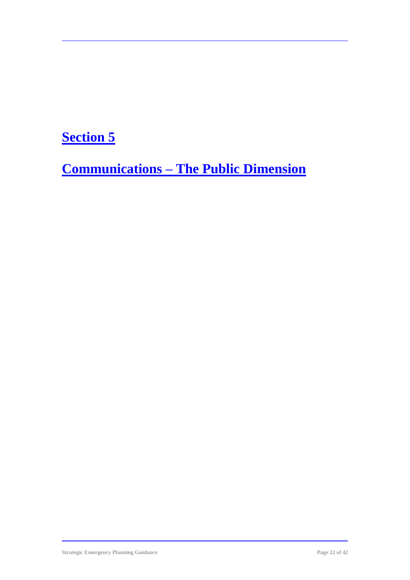# **Section 5**

**Communications – The Public Dimension**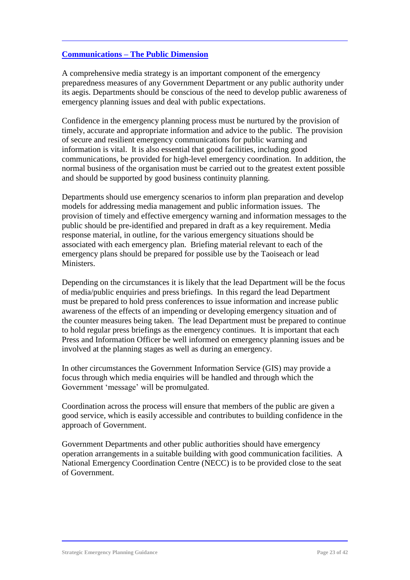#### **Communications – The Public Dimension**

A comprehensive media strategy is an important component of the emergency preparedness measures of any Government Department or any public authority under its aegis. Departments should be conscious of the need to develop public awareness of emergency planning issues and deal with public expectations.

Confidence in the emergency planning process must be nurtured by the provision of timely, accurate and appropriate information and advice to the public. The provision of secure and resilient emergency communications for public warning and information is vital. It is also essential that good facilities, including good communications, be provided for high-level emergency coordination. In addition, the normal business of the organisation must be carried out to the greatest extent possible and should be supported by good business continuity planning.

Departments should use emergency scenarios to inform plan preparation and develop models for addressing media management and public information issues. The provision of timely and effective emergency warning and information messages to the public should be pre-identified and prepared in draft as a key requirement. Media response material, in outline, for the various emergency situations should be associated with each emergency plan. Briefing material relevant to each of the emergency plans should be prepared for possible use by the Taoiseach or lead **Ministers** 

Depending on the circumstances it is likely that the lead Department will be the focus of media/public enquiries and press briefings. In this regard the lead Department must be prepared to hold press conferences to issue information and increase public awareness of the effects of an impending or developing emergency situation and of the counter measures being taken. The lead Department must be prepared to continue to hold regular press briefings as the emergency continues. It is important that each Press and Information Officer be well informed on emergency planning issues and be involved at the planning stages as well as during an emergency.

In other circumstances the Government Information Service (GIS) may provide a focus through which media enquiries will be handled and through which the Government 'message' will be promulgated.

Coordination across the process will ensure that members of the public are given a good service, which is easily accessible and contributes to building confidence in the approach of Government.

Government Departments and other public authorities should have emergency operation arrangements in a suitable building with good communication facilities. A National Emergency Coordination Centre (NECC) is to be provided close to the seat of Government.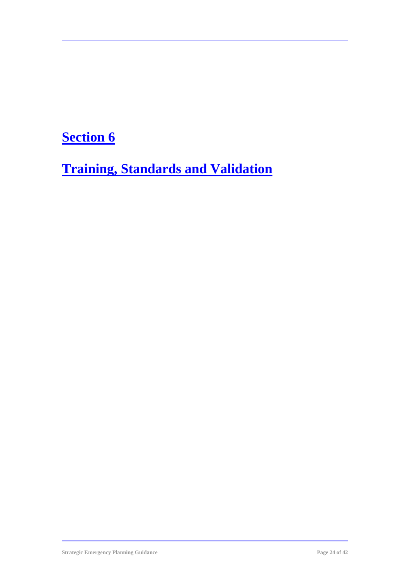# **Section 6**

**Training, Standards and Validation**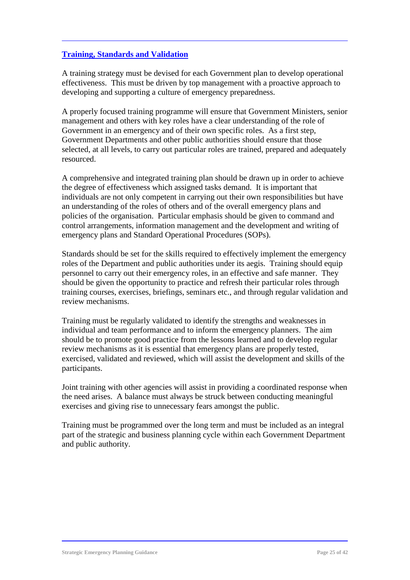#### **Training, Standards and Validation**

A training strategy must be devised for each Government plan to develop operational effectiveness. This must be driven by top management with a proactive approach to developing and supporting a culture of emergency preparedness.

A properly focused training programme will ensure that Government Ministers, senior management and others with key roles have a clear understanding of the role of Government in an emergency and of their own specific roles. As a first step, Government Departments and other public authorities should ensure that those selected, at all levels, to carry out particular roles are trained, prepared and adequately resourced.

A comprehensive and integrated training plan should be drawn up in order to achieve the degree of effectiveness which assigned tasks demand. It is important that individuals are not only competent in carrying out their own responsibilities but have an understanding of the roles of others and of the overall emergency plans and policies of the organisation. Particular emphasis should be given to command and control arrangements, information management and the development and writing of emergency plans and Standard Operational Procedures (SOPs).

Standards should be set for the skills required to effectively implement the emergency roles of the Department and public authorities under its aegis. Training should equip personnel to carry out their emergency roles, in an effective and safe manner. They should be given the opportunity to practice and refresh their particular roles through training courses, exercises, briefings, seminars etc., and through regular validation and review mechanisms.

Training must be regularly validated to identify the strengths and weaknesses in individual and team performance and to inform the emergency planners. The aim should be to promote good practice from the lessons learned and to develop regular review mechanisms as it is essential that emergency plans are properly tested, exercised, validated and reviewed, which will assist the development and skills of the participants.

Joint training with other agencies will assist in providing a coordinated response when the need arises. A balance must always be struck between conducting meaningful exercises and giving rise to unnecessary fears amongst the public.

Training must be programmed over the long term and must be included as an integral part of the strategic and business planning cycle within each Government Department and public authority.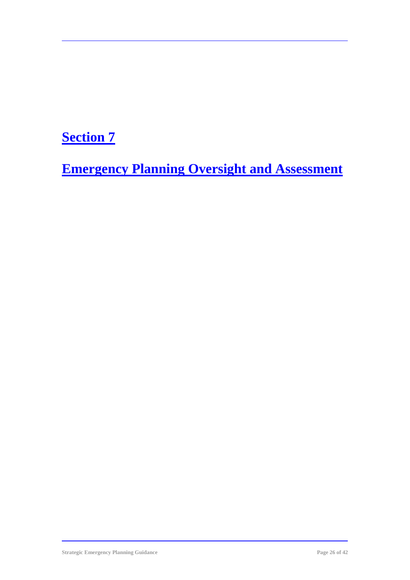# **Section 7**

**Emergency Planning Oversight and Assessment**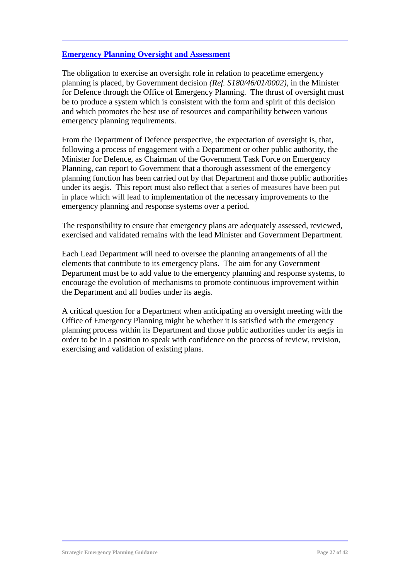#### **Emergency Planning Oversight and Assessment**

The obligation to exercise an oversight role in relation to peacetime emergency planning is placed, by Government decision *(Ref. S180/46/01/0002)*, in the Minister for Defence through the Office of Emergency Planning. The thrust of oversight must be to produce a system which is consistent with the form and spirit of this decision and which promotes the best use of resources and compatibility between various emergency planning requirements.

From the Department of Defence perspective, the expectation of oversight is, that, following a process of engagement with a Department or other public authority, the Minister for Defence, as Chairman of the Government Task Force on Emergency Planning, can report to Government that a thorough assessment of the emergency planning function has been carried out by that Department and those public authorities under its aegis. This report must also reflect that a series of measures have been put in place which will lead to implementation of the necessary improvements to the emergency planning and response systems over a period.

The responsibility to ensure that emergency plans are adequately assessed, reviewed, exercised and validated remains with the lead Minister and Government Department.

Each Lead Department will need to oversee the planning arrangements of all the elements that contribute to its emergency plans. The aim for any Government Department must be to add value to the emergency planning and response systems, to encourage the evolution of mechanisms to promote continuous improvement within the Department and all bodies under its aegis.

A critical question for a Department when anticipating an oversight meeting with the Office of Emergency Planning might be whether it is satisfied with the emergency planning process within its Department and those public authorities under its aegis in order to be in a position to speak with confidence on the process of review, revision, exercising and validation of existing plans.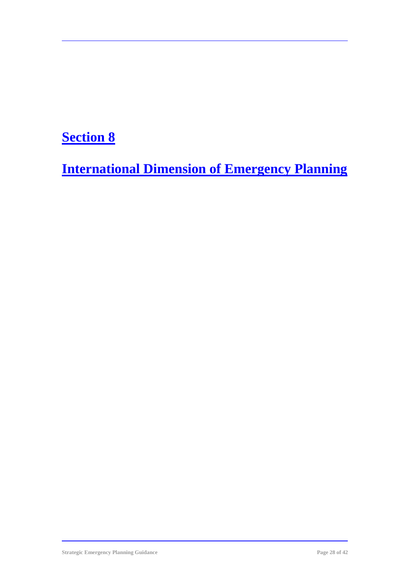# **Section 8**

**International Dimension of Emergency Planning**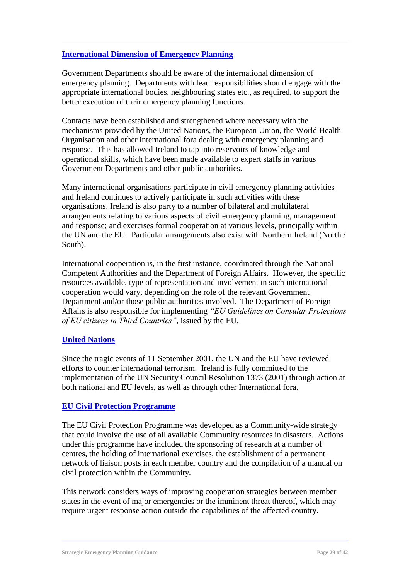#### **International Dimension of Emergency Planning**

Government Departments should be aware of the international dimension of emergency planning. Departments with lead responsibilities should engage with the appropriate international bodies, neighbouring states etc., as required, to support the better execution of their emergency planning functions.

Contacts have been established and strengthened where necessary with the mechanisms provided by the United Nations, the European Union, the World Health Organisation and other international fora dealing with emergency planning and response. This has allowed Ireland to tap into reservoirs of knowledge and operational skills, which have been made available to expert staffs in various Government Departments and other public authorities.

Many international organisations participate in civil emergency planning activities and Ireland continues to actively participate in such activities with these organisations. Ireland is also party to a number of bilateral and multilateral arrangements relating to various aspects of civil emergency planning, management and response; and exercises formal cooperation at various levels, principally within the UN and the EU. Particular arrangements also exist with Northern Ireland (North / South).

International cooperation is, in the first instance, coordinated through the National Competent Authorities and the Department of Foreign Affairs. However, the specific resources available, type of representation and involvement in such international cooperation would vary, depending on the role of the relevant Government Department and/or those public authorities involved. The Department of Foreign Affairs is also responsible for implementing *"EU Guidelines on Consular Protections of EU citizens in Third Countries"*, issued by the EU.

#### **United Nations**

Since the tragic events of 11 September 2001, the UN and the EU have reviewed efforts to counter international terrorism. Ireland is fully committed to the implementation of the UN Security Council Resolution 1373 (2001) through action at both national and EU levels, as well as through other International fora.

#### **EU Civil Protection Programme**

The EU Civil Protection Programme was developed as a Community-wide strategy that could involve the use of all available Community resources in disasters. Actions under this programme have included the sponsoring of research at a number of centres, the holding of international exercises, the establishment of a permanent network of liaison posts in each member country and the compilation of a manual on civil protection within the Community.

This network considers ways of improving cooperation strategies between member states in the event of major emergencies or the imminent threat thereof, which may require urgent response action outside the capabilities of the affected country.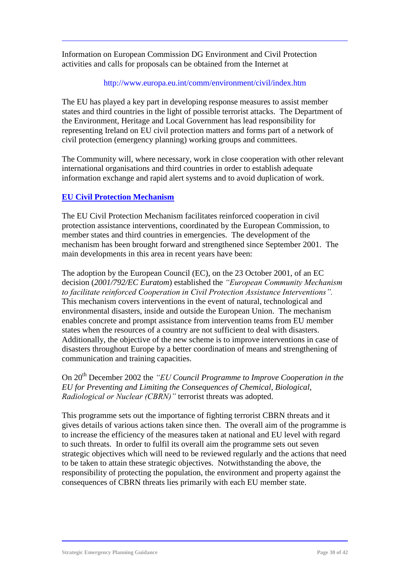Information on European Commission DG Environment and Civil Protection activities and calls for proposals can be obtained from the Internet at

#### http://www.europa.eu.int/comm/environment/civil/index.htm

The EU has played a key part in developing response measures to assist member states and third countries in the light of possible terrorist attacks. The Department of the Environment, Heritage and Local Government has lead responsibility for representing Ireland on EU civil protection matters and forms part of a network of civil protection (emergency planning) working groups and committees.

The Community will, where necessary, work in close cooperation with other relevant international organisations and third countries in order to establish adequate information exchange and rapid alert systems and to avoid duplication of work.

#### **EU Civil Protection Mechanism**

The EU Civil Protection Mechanism facilitates reinforced cooperation in civil protection assistance interventions, coordinated by the European Commission, to member states and third countries in emergencies. The development of the mechanism has been brought forward and strengthened since September 2001. The main developments in this area in recent years have been:

The adoption by the European Council (EC), on the 23 October 2001, of an EC decision (*2001/792/EC Euratom*) established the *"European Community Mechanism to facilitate reinforced Cooperation in Civil Protection Assistance Interventions".* This mechanism covers interventions in the event of natural, technological and environmental disasters, inside and outside the European Union. The mechanism enables concrete and prompt assistance from intervention teams from EU member states when the resources of a country are not sufficient to deal with disasters. Additionally, the objective of the new scheme is to improve interventions in case of disasters throughout Europe by a better coordination of means and strengthening of communication and training capacities.

On 20th December 2002 the *"EU Council Programme to Improve Cooperation in the EU for Preventing and Limiting the Consequences of Chemical, Biological, Radiological or Nuclear (CBRN)"* terrorist threats was adopted.

This programme sets out the importance of fighting terrorist CBRN threats and it gives details of various actions taken since then. The overall aim of the programme is to increase the efficiency of the measures taken at national and EU level with regard to such threats. In order to fulfil its overall aim the programme sets out seven strategic objectives which will need to be reviewed regularly and the actions that need to be taken to attain these strategic objectives. Notwithstanding the above, the responsibility of protecting the population, the environment and property against the consequences of CBRN threats lies primarily with each EU member state.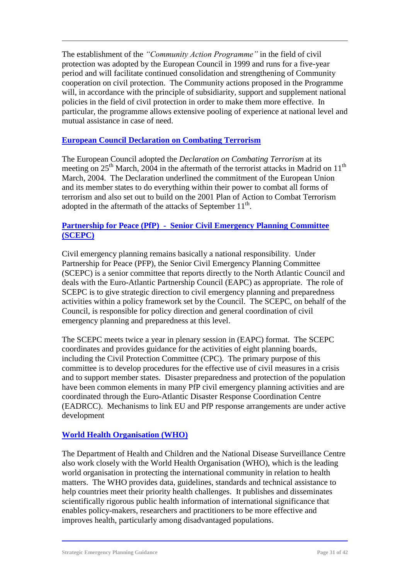The establishment of the *"Community Action Programme"* in the field of civil protection was adopted by the European Council in 1999 and runs for a five-year period and will facilitate continued consolidation and strengthening of Community cooperation on civil protection. The Community actions proposed in the Programme will, in accordance with the principle of subsidiarity, support and supplement national policies in the field of civil protection in order to make them more effective. In particular, the programme allows extensive pooling of experience at national level and mutual assistance in case of need.

#### **European Council Declaration on Combating Terrorism**

The European Council adopted the *Declaration on Combating Terrorism* at its meeting on  $25<sup>th</sup>$  March, 2004 in the aftermath of the terrorist attacks in Madrid on  $11<sup>th</sup>$ March, 2004. The Declaration underlined the commitment of the European Union and its member states to do everything within their power to combat all forms of terrorism and also set out to build on the 2001 Plan of Action to Combat Terrorism adopted in the aftermath of the attacks of September  $11<sup>th</sup>$ .

#### **Partnership for Peace (PfP) - Senior Civil Emergency Planning Committee (SCEPC)**

Civil emergency planning remains basically a national responsibility. Under Partnership for Peace (PFP), the Senior Civil Emergency Planning Committee (SCEPC) is a senior committee that reports directly to the North Atlantic Council and deals with the Euro-Atlantic Partnership Council (EAPC) as appropriate. The role of SCEPC is to give strategic direction to civil emergency planning and preparedness activities within a policy framework set by the Council. The SCEPC, on behalf of the Council, is responsible for policy direction and general coordination of civil emergency planning and preparedness at this level.

The SCEPC meets twice a year in plenary session in (EAPC) format. The SCEPC coordinates and provides guidance for the activities of eight planning boards, including the Civil Protection Committee (CPC). The primary purpose of this committee is to develop procedures for the effective use of civil measures in a crisis and to support member states. Disaster preparedness and protection of the population have been common elements in many PfP civil emergency planning activities and are coordinated through the Euro-Atlantic Disaster Response Coordination Centre (EADRCC). Mechanisms to link EU and PfP response arrangements are under active development

#### **World Health Organisation (WHO)**

The Department of Health and Children and the National Disease Surveillance Centre also work closely with the World Health Organisation (WHO), which is the leading world organisation in protecting the international community in relation to health matters. The WHO provides data, guidelines, standards and technical assistance to help countries meet their priority health challenges. It publishes and disseminates scientifically rigorous public health information of international significance that enables policy-makers, researchers and practitioners to be more effective and improves health, particularly among disadvantaged populations.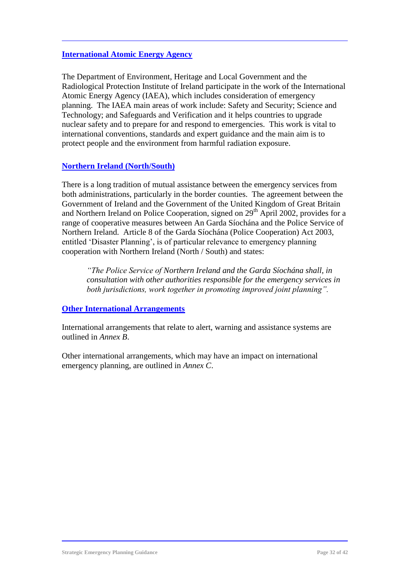#### **International Atomic Energy Agency**

The Department of Environment, Heritage and Local Government and the Radiological Protection Institute of Ireland participate in the work of the International Atomic Energy Agency (IAEA), which includes consideration of emergency planning. The IAEA main areas of work include: Safety and Security; Science and Technology; and Safeguards and Verification and it helps countries to upgrade nuclear safety and to prepare for and respond to emergencies. This work is vital to international conventions, standards and expert guidance and the main aim is to protect people and the environment from harmful radiation exposure.

#### **Northern Ireland (North/South)**

There is a long tradition of mutual assistance between the emergency services from both administrations, particularly in the border counties. The agreement between the Government of Ireland and the Government of the United Kingdom of Great Britain and Northern Ireland on Police Cooperation, signed on  $29<sup>th</sup>$  April 2002, provides for a range of cooperative measures between An Garda Síochána and the Police Service of Northern Ireland. Article 8 of the Garda Síochána (Police Cooperation) Act 2003, entitled 'Disaster Planning', is of particular relevance to emergency planning cooperation with Northern Ireland (North / South) and states:

*"The Police Service of Northern Ireland and the Garda Síochána shall, in consultation with other authorities responsible for the emergency services in both jurisdictions, work together in promoting improved joint planning".*

#### **Other International Arrangements**

International arrangements that relate to alert, warning and assistance systems are outlined in *Annex B*.

Other international arrangements, which may have an impact on international emergency planning, are outlined in *Annex C*.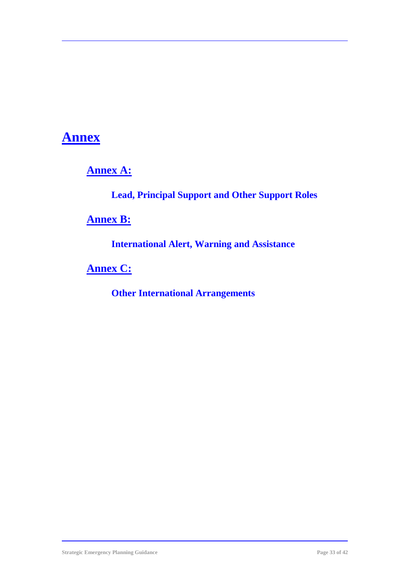### **Annex**

**Annex A:**

**Lead, Principal Support and Other Support Roles**

**Annex B:**

**International Alert, Warning and Assistance**

**Annex C:**

**Other International Arrangements**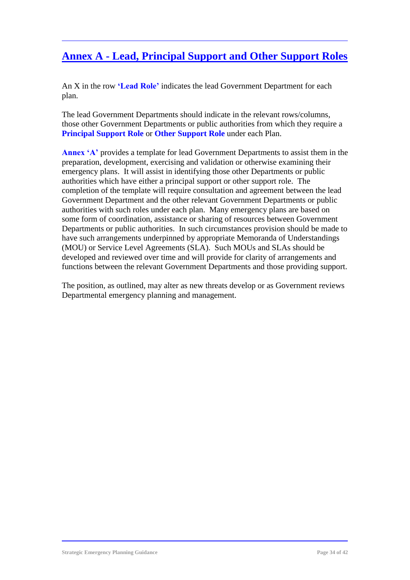### **Annex A - Lead, Principal Support and Other Support Roles**

An X in the row **'Lead Role'** indicates the lead Government Department for each plan.

The lead Government Departments should indicate in the relevant rows/columns, those other Government Departments or public authorities from which they require a **Principal Support Role** or **Other Support Role** under each Plan.

**Annex 'A'** provides a template for lead Government Departments to assist them in the preparation, development, exercising and validation or otherwise examining their emergency plans. It will assist in identifying those other Departments or public authorities which have either a principal support or other support role. The completion of the template will require consultation and agreement between the lead Government Department and the other relevant Government Departments or public authorities with such roles under each plan. Many emergency plans are based on some form of coordination, assistance or sharing of resources between Government Departments or public authorities. In such circumstances provision should be made to have such arrangements underpinned by appropriate Memoranda of Understandings (MOU) or Service Level Agreements (SLA). Such MOUs and SLAs should be developed and reviewed over time and will provide for clarity of arrangements and functions between the relevant Government Departments and those providing support.

The position, as outlined, may alter as new threats develop or as Government reviews Departmental emergency planning and management.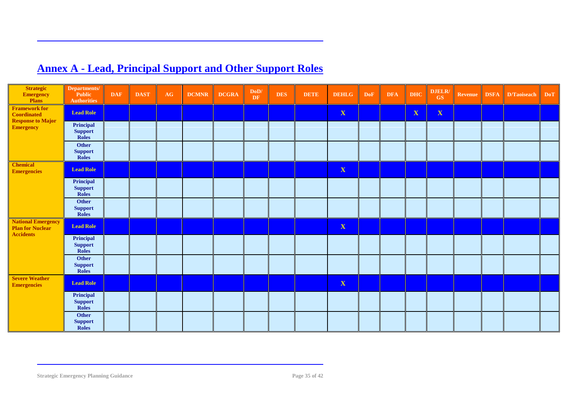| <b>Strategic</b><br>Emergency<br>Plans                                   | Departments/<br>Public<br><b>Authorities</b> | <b>DAF</b> | <b>DAST</b> | $\mathbf{A}\mathbf{G}$ | <b>DCMNR</b> | <b>DCGRA</b> | DoD/<br>DF | <b>DES</b> | <b>DETE</b> | <b>DEHLG</b> | <b>DoF</b> | <b>DFA</b> | <b>DHC</b>   | DJELR/<br>GS | Revenue | <b>DSFA</b> | D/Taoiseach | DoT |
|--------------------------------------------------------------------------|----------------------------------------------|------------|-------------|------------------------|--------------|--------------|------------|------------|-------------|--------------|------------|------------|--------------|--------------|---------|-------------|-------------|-----|
| <b>Framework for</b><br><b>Coordinated</b>                               | <b>Lead Role</b>                             |            |             |                        |              |              |            |            |             | X            |            |            | $\mathbf{X}$ | $\mathbf{X}$ |         |             |             |     |
| <b>Response to Major</b><br>Emergency                                    | Principal<br><b>Support</b><br><b>Roles</b>  |            |             |                        |              |              |            |            |             |              |            |            |              |              |         |             |             |     |
|                                                                          | <b>Other</b><br><b>Support</b><br>Roles      |            |             |                        |              |              |            |            |             |              |            |            |              |              |         |             |             |     |
| <b>Chemical</b><br><b>Emergencies</b>                                    | <b>Lead Role</b>                             |            |             |                        |              |              |            |            |             | $\mathbf X$  |            |            |              |              |         |             |             |     |
|                                                                          | Principal<br><b>Support</b><br><b>Roles</b>  |            |             |                        |              |              |            |            |             |              |            |            |              |              |         |             |             |     |
|                                                                          | Other<br><b>Support</b><br>Roles             |            |             |                        |              |              |            |            |             |              |            |            |              |              |         |             |             |     |
| <b>National Emergency</b><br><b>Plan for Nuclear</b><br><b>Accidents</b> | <b>Lead Role</b>                             |            |             |                        |              |              |            |            |             | $\mathbf X$  |            |            |              |              |         |             |             |     |
|                                                                          | Principal<br><b>Support</b><br><b>Roles</b>  |            |             |                        |              |              |            |            |             |              |            |            |              |              |         |             |             |     |
|                                                                          | Other<br><b>Support</b><br>Roles             |            |             |                        |              |              |            |            |             |              |            |            |              |              |         |             |             |     |
| <b>Severe Weather</b><br><b>Emergencies</b>                              | <b>Lead Role</b>                             |            |             |                        |              |              |            |            |             | $\mathbf X$  |            |            |              |              |         |             |             |     |
|                                                                          | Principal<br><b>Support</b><br><b>Roles</b>  |            |             |                        |              |              |            |            |             |              |            |            |              |              |         |             |             |     |
|                                                                          | Other<br><b>Support</b><br>Roles             |            |             |                        |              |              |            |            |             |              |            |            |              |              |         |             |             |     |

### **Annex A - Lead, Principal Support and Other Support Roles**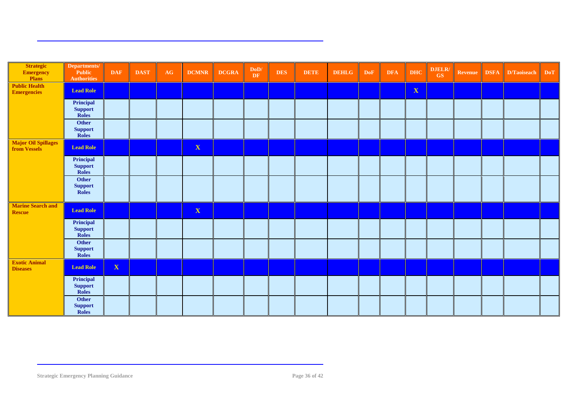| <b>Strategic</b><br><b>Emergency</b><br>Plans | Departments/<br><b>Public</b><br><b>Authorities</b> | <b>DAF</b>  | <b>DAST</b> | $\mathbf{A}\mathbf{G}$ | <b>DCMNR</b> | <b>DCGRA</b> | $\mathbf{DoD}/$<br>DF | <b>DES</b> | <b>DETE</b> | <b>DEHLG</b> | <b>DoF</b> | <b>DFA</b> | <b>DHC</b>   | DJELR/<br>GS | Revenue | <b>DSFA</b> | D/Taoiseach | <b>DoT</b> |
|-----------------------------------------------|-----------------------------------------------------|-------------|-------------|------------------------|--------------|--------------|-----------------------|------------|-------------|--------------|------------|------------|--------------|--------------|---------|-------------|-------------|------------|
| <b>Public Health</b><br><b>Emergencies</b>    | <b>Lead Role</b>                                    |             |             |                        |              |              |                       |            |             |              |            |            | $\mathbf{X}$ |              |         |             |             |            |
|                                               | Principal<br><b>Support</b><br><b>Roles</b>         |             |             |                        |              |              |                       |            |             |              |            |            |              |              |         |             |             |            |
|                                               | Other<br><b>Support</b><br><b>Roles</b>             |             |             |                        |              |              |                       |            |             |              |            |            |              |              |         |             |             |            |
| <b>Major Oil Spillages</b><br>from Vessels    | <b>Lead Role</b>                                    |             |             |                        | $\mathbf X$  |              |                       |            |             |              |            |            |              |              |         |             |             |            |
|                                               | Principal<br><b>Support</b><br><b>Roles</b>         |             |             |                        |              |              |                       |            |             |              |            |            |              |              |         |             |             |            |
|                                               | Other<br><b>Support</b><br><b>Roles</b>             |             |             |                        |              |              |                       |            |             |              |            |            |              |              |         |             |             |            |
| <b>Marine Search and</b><br><b>Rescue</b>     | <b>Lead Role</b>                                    |             |             |                        | $\mathbf X$  |              |                       |            |             |              |            |            |              |              |         |             |             |            |
|                                               | Principal<br><b>Support</b><br><b>Roles</b>         |             |             |                        |              |              |                       |            |             |              |            |            |              |              |         |             |             |            |
|                                               | Other<br><b>Support</b><br><b>Roles</b>             |             |             |                        |              |              |                       |            |             |              |            |            |              |              |         |             |             |            |
| <b>Exotic Animal</b><br><b>Diseases</b>       | <b>Lead Role</b>                                    | $\mathbf X$ |             |                        |              |              |                       |            |             |              |            |            |              |              |         |             |             |            |
|                                               | Principal<br><b>Support</b><br>Roles                |             |             |                        |              |              |                       |            |             |              |            |            |              |              |         |             |             |            |
|                                               | Other<br><b>Support</b><br><b>Roles</b>             |             |             |                        |              |              |                       |            |             |              |            |            |              |              |         |             |             |            |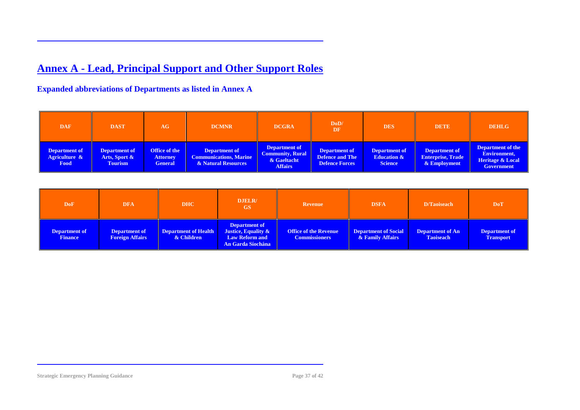### **Annex A - Lead, Principal Support and Other Support Roles**

#### **Expanded abbreviations of Departments as listed in Annex A**

| <b>DAF</b>                             | <b>DAST</b>                                             | AG                                                 | <b>DCMNR</b>                                                                 | <b>DCGRA</b>                                                              | DoD/<br>DF                                                | <b>DES</b>                                                | <b>DETE</b>                                                      | <b>DEHLG</b>                                                                                 |
|----------------------------------------|---------------------------------------------------------|----------------------------------------------------|------------------------------------------------------------------------------|---------------------------------------------------------------------------|-----------------------------------------------------------|-----------------------------------------------------------|------------------------------------------------------------------|----------------------------------------------------------------------------------------------|
| Department of<br>Agriculture &<br>Food | <b>Department of</b><br>Arts, Sport &<br><b>Tourism</b> | Office of the<br><b>Attorney</b><br><b>General</b> | <b>Department of</b><br><b>Communications, Marine</b><br>& Natural Resources | Department of<br><b>Community, Rural</b><br>& Gaeltacht<br><b>Affairs</b> | Department of<br><b>Defence and The</b><br>Defence Forces | Department of<br><b>Education &amp;</b><br><b>Science</b> | <b>Department of</b><br><b>Enterprise, Trade</b><br>& Employment | <b>Department of the</b><br>Environment,<br><b>Heritage &amp; Local</b><br><b>Government</b> |

| <b>DoF</b>                      | <b>DFA</b>                                     | <b>DHC</b>                                | <b>DJELR/</b><br>GS                                                                       | <b>Revenue</b>                                       | <b>DSFA</b>                              | D/Taoiseach                                 | <b>DoT</b>                               |
|---------------------------------|------------------------------------------------|-------------------------------------------|-------------------------------------------------------------------------------------------|------------------------------------------------------|------------------------------------------|---------------------------------------------|------------------------------------------|
| Department of<br><b>Finance</b> | <b>Department of</b><br><b>Foreign Affairs</b> | <b>Department of Health</b><br>& Children | <b>Department of</b><br>Justice, Equality &<br><b>Law Reform and</b><br>An Garda Síochána | <b>Office of the Revenue</b><br><b>Commissioners</b> | Department of Social<br>& Family Affairs | <b>Department of An</b><br><b>Taoiseach</b> | <b>Department of</b><br><b>Transport</b> |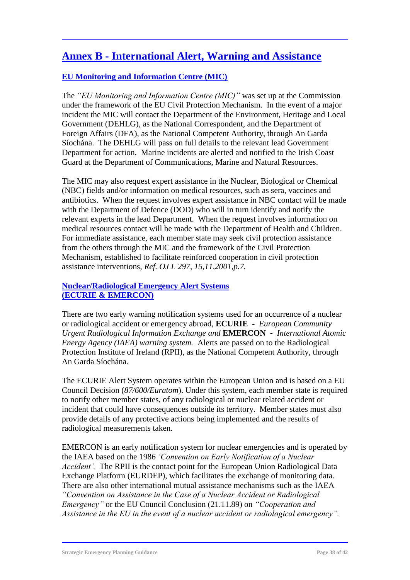### **Annex B - International Alert, Warning and Assistance**

#### **EU Monitoring and Information Centre (MIC)**

The *"EU Monitoring and Information Centre (MIC)"* was set up at the Commission under the framework of the EU Civil Protection Mechanism. In the event of a major incident the MIC will contact the Department of the Environment, Heritage and Local Government (DEHLG), as the National Correspondent, and the Department of Foreign Affairs (DFA), as the National Competent Authority, through An Garda Síochána. The DEHLG will pass on full details to the relevant lead Government Department for action. Marine incidents are alerted and notified to the Irish Coast Guard at the Department of Communications, Marine and Natural Resources.

The MIC may also request expert assistance in the Nuclear, Biological or Chemical (NBC) fields and/or information on medical resources, such as sera, vaccines and antibiotics. When the request involves expert assistance in NBC contact will be made with the Department of Defence (DOD) who will in turn identify and notify the relevant experts in the lead Department. When the request involves information on medical resources contact will be made with the Department of Health and Children. For immediate assistance, each member state may seek civil protection assistance from the others through the MIC and the framework of the Civil Protection Mechanism, established to facilitate reinforced cooperation in civil protection assistance interventions, *Ref. OJ L 297, 15,11,2001,p.7.*

#### **Nuclear/Radiological Emergency Alert Systems (ECURIE & EMERCON)**

There are two early warning notification systems used for an occurrence of a nuclear or radiological accident or emergency abroad, **ECURIE -** *European Community Urgent Radiological Information Exchange and* **EMERCON -** *International Atomic Energy Agency (IAEA) warning system.* Alerts are passed on to the Radiological Protection Institute of Ireland (RPII), as the National Competent Authority, through An Garda Síochána.

The ECURIE Alert System operates within the European Union and is based on a EU Council Decision (*87/600/Euratom*). Under this system, each member state is required to notify other member states, of any radiological or nuclear related accident or incident that could have consequences outside its territory. Member states must also provide details of any protective actions being implemented and the results of radiological measurements taken.

EMERCON is an early notification system for nuclear emergencies and is operated by the IAEA based on the 1986 *'Convention on Early Notification of a Nuclear Accident'.* The RPII is the contact point for the European Union Radiological Data Exchange Platform (EURDEP), which facilitates the exchange of monitoring data. There are also other international mutual assistance mechanisms such as the IAEA *"Convention on Assistance in the Case of a Nuclear Accident or Radiological Emergency"* or the EU Council Conclusion (21.11.89) on *"Cooperation and Assistance in the EU in the event of a nuclear accident or radiological emergency".*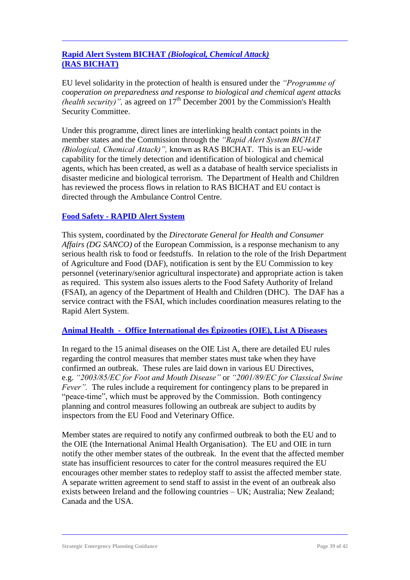#### **Rapid Alert System BICHAT** *(Biological, Chemical Attack)* **(RAS BICHAT)**

EU level solidarity in the protection of health is ensured under the *"Programme of cooperation on preparedness and response to biological and chemical agent attacks (health security)"*, as agreed on  $17<sup>th</sup>$  December 2001 by the Commission's Health Security Committee.

Under this programme, direct lines are interlinking health contact points in the member states and the Commission through the *"Rapid Alert System BICHAT (Biological, Chemical Attack)",* known as RAS BICHAT. This is an EU-wide capability for the timely detection and identification of biological and chemical agents, which has been created, as well as a database of health service specialists in disaster medicine and biological terrorism. The Department of Health and Children has reviewed the process flows in relation to RAS BICHAT and EU contact is directed through the Ambulance Control Centre.

#### **Food Safety - RAPID Alert System**

This system, coordinated by the *Directorate General for Health and Consumer Affairs (DG SANCO)* of the European Commission, is a response mechanism to any serious health risk to food or feedstuffs. In relation to the role of the Irish Department of Agriculture and Food (DAF), notification is sent by the EU Commission to key personnel (veterinary/senior agricultural inspectorate) and appropriate action is taken as required. This system also issues alerts to the Food Safety Authority of Ireland (FSAI), an agency of the Department of Health and Children (DHC). The DAF has a service contract with the FSAI, which includes coordination measures relating to the Rapid Alert System.

#### **Animal Health - Office International des Épizooties (OIE), List A Diseases**

In regard to the 15 animal diseases on the OIE List A, there are detailed EU rules regarding the control measures that member states must take when they have confirmed an outbreak. These rules are laid down in various EU Directives, e.g. *"2003/85/EC for Foot and Mouth Disease"* or *"2001/89/EC for Classical Swine Fever".* The rules include a requirement for contingency plans to be prepared in "peace-time", which must be approved by the Commission. Both contingency planning and control measures following an outbreak are subject to audits by inspectors from the EU Food and Veterinary Office.

Member states are required to notify any confirmed outbreak to both the EU and to the OIE (the International Animal Health Organisation). The EU and OIE in turn notify the other member states of the outbreak. In the event that the affected member state has insufficient resources to cater for the control measures required the EU encourages other member states to redeploy staff to assist the affected member state. A separate written agreement to send staff to assist in the event of an outbreak also exists between Ireland and the following countries – UK; Australia; New Zealand; Canada and the USA.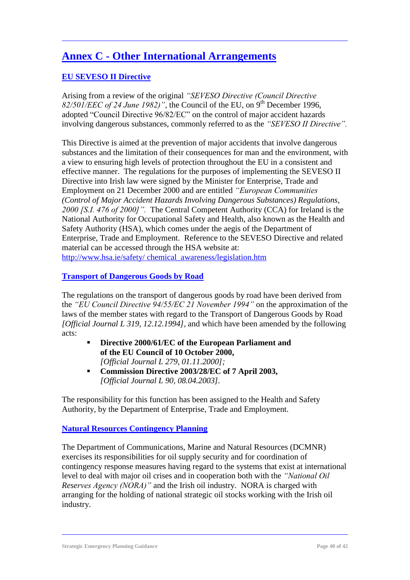### **Annex C - Other International Arrangements**

#### **EU SEVESO II Directive**

Arising from a review of the original *"SEVESO Directive (Council Directive*  82/501/EEC of 24 June 1982)", the Council of the EU, on 9<sup>th</sup> December 1996, adopted "Council Directive 96/82/EC" on the control of major accident hazards involving dangerous substances, commonly referred to as the *"SEVESO II Directive".* 

This Directive is aimed at the prevention of major accidents that involve dangerous substances and the limitation of their consequences for man and the environment, with a view to ensuring high levels of protection throughout the EU in a consistent and effective manner. The regulations for the purposes of implementing the SEVESO II Directive into Irish law were signed by the Minister for Enterprise, Trade and Employment on 21 December 2000 and are entitled *"European Communities (Control of Major Accident Hazards Involving Dangerous Substances) Regulations, 2000 [S.I. 476 of 2000]".* The Central Competent Authority (CCA) for Ireland is the National Authority for Occupational Safety and Health, also known as the Health and Safety Authority (HSA), which comes under the aegis of the Department of Enterprise, Trade and Employment. Reference to the SEVESO Directive and related material can be accessed through the HSA website at: [http://www.hsa.ie/safety/ chemical\\_awareness/legislation.htm](http://www.hsa.ie/safety/%20chemical_awareness/legislation.htm)

#### **Transport of Dangerous Goods by Road**

The regulations on the transport of dangerous goods by road have been derived from the *"EU Council Directive 94/55/EC 21 November 1994"* on the approximation of the laws of the member states with regard to the Transport of Dangerous Goods by Road *[Official Journal L 319, 12.12.1994],* and which have been amended by the following acts:

- **Directive 2000/61/EC of the European Parliament and of the EU Council of 10 October 2000,** *[Official Journal L 279, 01.11.2000];*
- **Commission Directive 2003/28/EC of 7 April 2003,** *[Official Journal L 90, 08.04.2003].*

The responsibility for this function has been assigned to the Health and Safety Authority, by the Department of Enterprise, Trade and Employment.

#### **Natural Resources Contingency Planning**

The Department of Communications, Marine and Natural Resources (DCMNR) exercises its responsibilities for oil supply security and for coordination of contingency response measures having regard to the systems that exist at international level to deal with major oil crises and in cooperation both with the *"National Oil Reserves Agency (NORA)"* and the Irish oil industry*.* NORA is charged with arranging for the holding of national strategic oil stocks working with the Irish oil industry.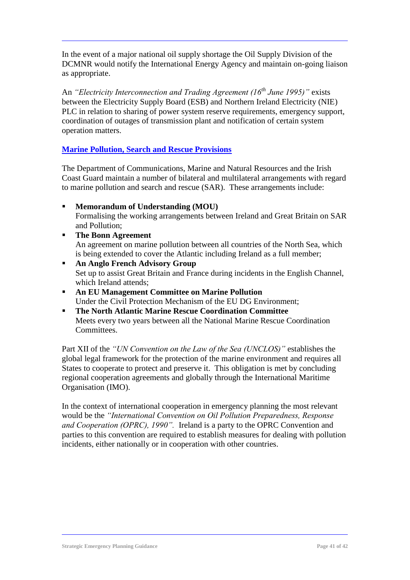In the event of a major national oil supply shortage the Oil Supply Division of the DCMNR would notify the International Energy Agency and maintain on-going liaison as appropriate.

An *"Electricity Interconnection and Trading Agreement (16th June 1995)"* exists between the Electricity Supply Board (ESB) and Northern Ireland Electricity (NIE) PLC in relation to sharing of power system reserve requirements, emergency support, coordination of outages of transmission plant and notification of certain system operation matters.

#### **Marine Pollution, Search and Rescue Provisions**

The Department of Communications, Marine and Natural Resources and the Irish Coast Guard maintain a number of bilateral and multilateral arrangements with regard to marine pollution and search and rescue (SAR). These arrangements include:

- **Memorandum of Understanding (MOU)** Formalising the working arrangements between Ireland and Great Britain on SAR and Pollution;
- **The Bonn Agreement** An agreement on marine pollution between all countries of the North Sea, which is being extended to cover the Atlantic including Ireland as a full member;
- **An Anglo French Advisory Group** Set up to assist Great Britain and France during incidents in the English Channel, which Ireland attends;
- **An EU Management Committee on Marine Pollution** Under the Civil Protection Mechanism of the EU DG Environment;
- **The North Atlantic Marine Rescue Coordination Committee**  Meets every two years between all the National Marine Rescue Coordination Committees.

Part XII of the *"UN Convention on the Law of the Sea (UNCLOS)"* establishes the global legal framework for the protection of the marine environment and requires all States to cooperate to protect and preserve it. This obligation is met by concluding regional cooperation agreements and globally through the International Maritime Organisation (IMO).

In the context of international cooperation in emergency planning the most relevant would be the *"International Convention on Oil Pollution Preparedness, Response and Cooperation (OPRC), 1990".* Ireland is a party to the OPRC Convention and parties to this convention are required to establish measures for dealing with pollution incidents, either nationally or in cooperation with other countries.